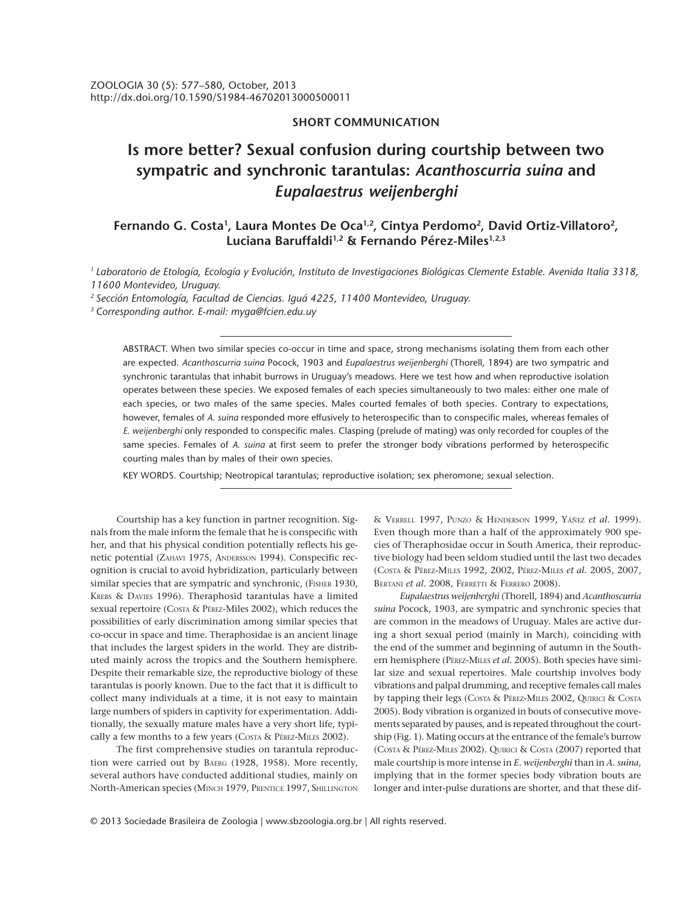## **SHORT COMMUNICATION**

# **Is more better? Sexual confusion during courtship between two sympatric and synchronic tarantulas:** *Acanthoscurria suina* **and** *Eupalaestrus weijenberghi*

## Fernando G. Costa<sup>1</sup>, Laura Montes De Oca<sup>1,2</sup>, Cintya Perdomo<sup>2</sup>, David Ortiz-Villatoro<sup>2</sup>, **Luciana Baruffaldi1,2 & Fernando Pérez-Miles1,2,3**

*1 Laboratorio de Etología, Ecología y Evolución, Instituto de Investigaciones Biológicas Clemente Estable. Avenida Italia 3318, 11600 Montevideo, Uruguay.*

*2 Sección Entomología, Facultad de Ciencias. Iguá 4225, 11400 Montevideo, Uruguay.*

*3 Corresponding author. E-mail: myga@fcien.edu.uy*

ABSTRACT. When two similar species co-occur in time and space, strong mechanisms isolating them from each other are expected. *Acanthoscurria suina* Pocock, 1903 and *Eupalaestrus weijenberghi* (Thorell, 1894) are two sympatric and synchronic tarantulas that inhabit burrows in Uruguay's meadows. Here we test how and when reproductive isolation operates between these species. We exposed females of each species simultaneously to two males: either one male of each species, or two males of the same species. Males courted females of both species. Contrary to expectations, however, females of *A. suina* responded more effusively to heterospecific than to conspecific males, whereas females of *E. weijenberghi* only responded to conspecific males. Clasping (prelude of mating) was only recorded for couples of the same species. Females of *A. suina* at first seem to prefer the stronger body vibrations performed by heterospecific courting males than by males of their own species.

KEY WORDS. Courtship; Neotropical tarantulas; reproductive isolation; sex pheromone; sexual selection.

Courtship has a key function in partner recognition. Signals from the male inform the female that he is conspecific with her, and that his physical condition potentially reflects his genetic potential (ZAHAVI 1975, ANDERSSON 1994). Conspecific recognition is crucial to avoid hybridization, particularly between similar species that are sympatric and synchronic, (FISHER 1930, KREBS & DAVIES 1996). Theraphosid tarantulas have a limited sexual repertoire (Costa & PÉREZ-Miles 2002), which reduces the possibilities of early discrimination among similar species that co-occur in space and time. Theraphosidae is an ancient linage that includes the largest spiders in the world. They are distributed mainly across the tropics and the Southern hemisphere. Despite their remarkable size, the reproductive biology of these tarantulas is poorly known. Due to the fact that it is difficult to collect many individuals at a time, it is not easy to maintain large numbers of spiders in captivity for experimentation. Additionally, the sexually mature males have a very short life, typically a few months to a few years (Costa & PÉREZ-MILES 2002).

The first comprehensive studies on tarantula reproduction were carried out by BAERG (1928, 1958). More recently, several authors have conducted additional studies, mainly on North-American species (MINCH 1979, PRENTICE 1997, SHILLINGTON & VERRELL 1997, PUNZO & HENDERSON 1999, YÁÑEZ *et al.* 1999). Even though more than a half of the approximately 900 species of Theraphosidae occur in South America, their reproductive biology had been seldom studied until the last two decades (COSTA & PÉREZ-MILES 1992, 2002, PÉREZ-MILES *et al.* 2005, 2007, BERTANI *et al.* 2008, FERRETTI & FERRERO 2008).

*Eupalaestrus weijenberghi* (Thorell, 1894) and *Acanthoscurria suina* Pocock, 1903, are sympatric and synchronic species that are common in the meadows of Uruguay. Males are active during a short sexual period (mainly in March), coinciding with the end of the summer and beginning of autumn in the Southern hemisphere (PÉREZ-MILES *et al.* 2005). Both species have similar size and sexual repertoires. Male courtship involves body vibrations and palpal drumming, and receptive females call males by tapping their legs (Costa & Pérez-Miles 2002, QUIRICI & Costa 2005). Body vibration is organized in bouts of consecutive movements separated by pauses, and is repeated throughout the courtship (Fig. 1). Mating occurs at the entrance of the female's burrow (COSTA & PÉREZ-MILES 2002). QUIRICI & COSTA (2007) reported that male courtship is more intense in *E. weijenberghi* than in *A. suina*, implying that in the former species body vibration bouts are longer and inter-pulse durations are shorter, and that these dif-

© 2013 Sociedade Brasileira de Zoologia | www.sbzoologia.org.br | All rights reserved.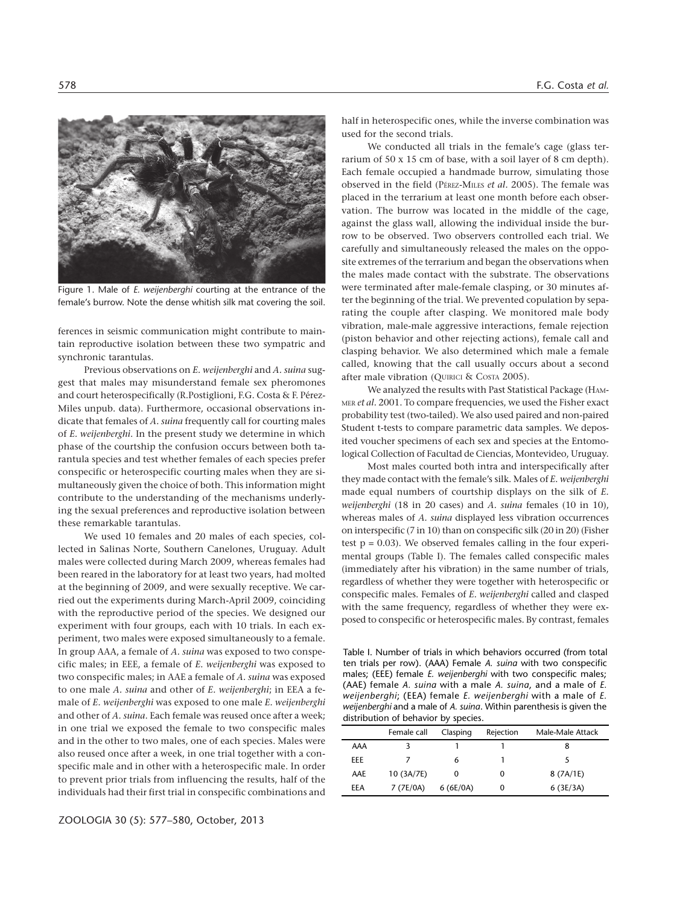

Figure 1. Male of *E. weijenberghi* courting at the entrance of the female's burrow. Note the dense whitish silk mat covering the soil.

ferences in seismic communication might contribute to maintain reproductive isolation between these two sympatric and synchronic tarantulas.

Previous observations on *E. weijenberghi* and *A. suina* suggest that males may misunderstand female sex pheromones and court heterospecifically (R.Postiglioni, F.G. Costa & F. Pérez-Miles unpub. data). Furthermore, occasional observations indicate that females of *A. suina* frequently call for courting males of *E. weijenberghi*. In the present study we determine in which phase of the courtship the confusion occurs between both tarantula species and test whether females of each species prefer conspecific or heterospecific courting males when they are simultaneously given the choice of both. This information might contribute to the understanding of the mechanisms underlying the sexual preferences and reproductive isolation between these remarkable tarantulas.

We used 10 females and 20 males of each species, collected in Salinas Norte, Southern Canelones, Uruguay. Adult males were collected during March 2009, whereas females had been reared in the laboratory for at least two years, had molted at the beginning of 2009, and were sexually receptive. We carried out the experiments during March-April 2009, coinciding with the reproductive period of the species. We designed our experiment with four groups, each with 10 trials. In each experiment, two males were exposed simultaneously to a female. In group AAA, a female of *A. suina* was exposed to two conspecific males; in EEE, a female of *E. weijenberghi* was exposed to two conspecific males; in AAE a female of *A. suina* was exposed to one male *A. suina* and other of *E. weijenberghi*; in EEA a female of *E. weijenberghi* was exposed to one male *E. weijenberghi* and other of *A. suina*. Each female was reused once after a week; in one trial we exposed the female to two conspecific males and in the other to two males, one of each species. Males were also reused once after a week, in one trial together with a conspecific male and in other with a heterospecific male. In order to prevent prior trials from influencing the results, half of the individuals had their first trial in conspecific combinations and half in heterospecific ones, while the inverse combination was used for the second trials.

We conducted all trials in the female's cage (glass terrarium of 50 x 15 cm of base, with a soil layer of 8 cm depth). Each female occupied a handmade burrow, simulating those observed in the field (PÉREZ-MILES *et al.* 2005). The female was placed in the terrarium at least one month before each observation. The burrow was located in the middle of the cage, against the glass wall, allowing the individual inside the burrow to be observed. Two observers controlled each trial. We carefully and simultaneously released the males on the opposite extremes of the terrarium and began the observations when the males made contact with the substrate. The observations were terminated after male-female clasping, or 30 minutes after the beginning of the trial. We prevented copulation by separating the couple after clasping. We monitored male body vibration, male-male aggressive interactions, female rejection (piston behavior and other rejecting actions), female call and clasping behavior. We also determined which male a female called, knowing that the call usually occurs about a second after male vibration (QUIRICI & COSTA 2005).

We analyzed the results with Past Statistical Package (HAM-MER *et al.* 2001. To compare frequencies, we used the Fisher exact probability test (two-tailed). We also used paired and non-paired Student t-tests to compare parametric data samples. We deposited voucher specimens of each sex and species at the Entomological Collection of Facultad de Ciencias, Montevideo, Uruguay.

Most males courted both intra and interspecifically after they made contact with the female's silk. Males of *E. weijenberghi* made equal numbers of courtship displays on the silk of *E. weijenberghi* (18 in 20 cases) and *A. suina* females (10 in 10), whereas males of *A. suina* displayed less vibration occurrences on interspecific (7 in 10) than on conspecific silk (20 in 20) (Fisher test  $p = 0.03$ ). We observed females calling in the four experimental groups (Table I). The females called conspecific males (immediately after his vibration) in the same number of trials, regardless of whether they were together with heterospecific or conspecific males. Females of *E. weijenberghi* called and clasped with the same frequency, regardless of whether they were exposed to conspecific or heterospecific males. By contrast, females

Table I. Number of trials in which behaviors occurred (from total ten trials per row). (AAA) Female *A. suina* with two conspecific males; (EEE) female *E. weijenberghi* with two conspecific males; (AAE) female *A. suina* with a male *A. suina*, and a male of *E. weijenberghi*; (EEA) female *E. weijenberghi* with a male of *E. weijenberghi* and a male of *A. suina*. Within parenthesis is given the distribution of behavior by species.

|     | Female call | Clasping | Rejection | Male-Male Attack |  |
|-----|-------------|----------|-----------|------------------|--|
| AAA |             |          |           |                  |  |
| EEE |             | 6        |           |                  |  |
| AAE | 10 (3A/7E)  |          | O         | 8 (7A/1E)        |  |
| EEA | 7 (7E/0A)   | 6(6E/OA) |           | 6(3E/3A)         |  |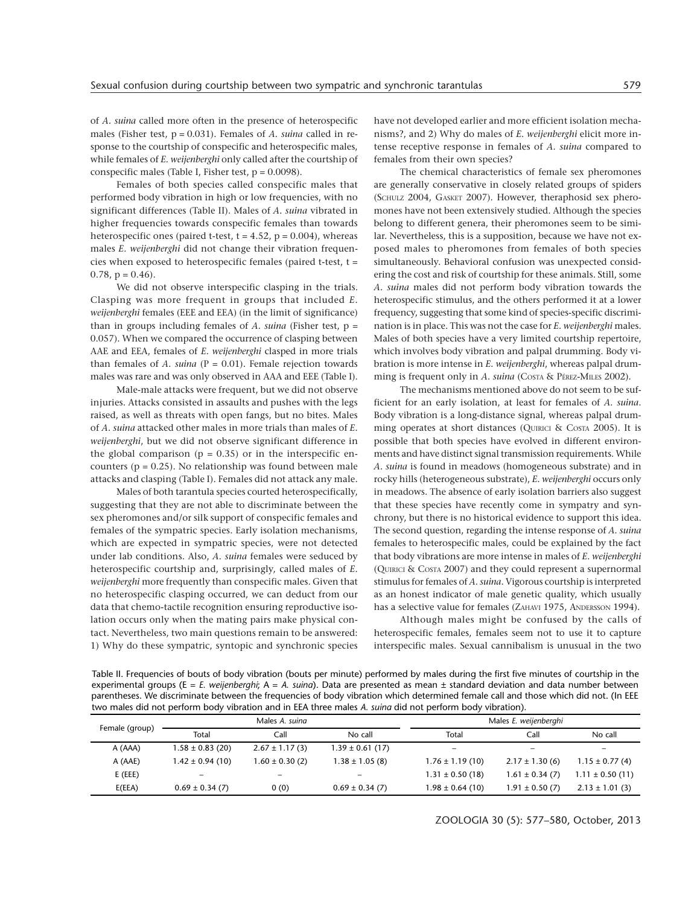of *A. suina* called more often in the presence of heterospecific males (Fisher test, p = 0.031). Females of *A. suina* called in response to the courtship of conspecific and heterospecific males, while females of *E. weijenberghi* only called after the courtship of conspecific males (Table I, Fisher test,  $p = 0.0098$ ).

Females of both species called conspecific males that performed body vibration in high or low frequencies, with no significant differences (Table II). Males of *A. suina* vibrated in higher frequencies towards conspecific females than towards heterospecific ones (paired t-test,  $t = 4.52$ ,  $p = 0.004$ ), whereas males *E. weijenberghi* did not change their vibration frequencies when exposed to heterospecific females (paired t-test, t = 0.78,  $p = 0.46$ .

We did not observe interspecific clasping in the trials. Clasping was more frequent in groups that included *E. weijenberghi* females (EEE and EEA) (in the limit of significance) than in groups including females of *A. suina* (Fisher test, p = 0.057). When we compared the occurrence of clasping between AAE and EEA, females of *E. weijenberghi* clasped in more trials than females of  $A$ . *suina* ( $P = 0.01$ ). Female rejection towards males was rare and was only observed in AAA and EEE (Table I).

Male-male attacks were frequent, but we did not observe injuries. Attacks consisted in assaults and pushes with the legs raised, as well as threats with open fangs, but no bites. Males of *A. suina* attacked other males in more trials than males of *E. weijenberghi*, but we did not observe significant difference in the global comparison ( $p = 0.35$ ) or in the interspecific encounters ( $p = 0.25$ ). No relationship was found between male attacks and clasping (Table I). Females did not attack any male.

Males of both tarantula species courted heterospecifically, suggesting that they are not able to discriminate between the sex pheromones and/or silk support of conspecific females and females of the sympatric species. Early isolation mechanisms, which are expected in sympatric species, were not detected under lab conditions. Also, *A. suina* females were seduced by heterospecific courtship and, surprisingly, called males of *E. weijenberghi* more frequently than conspecific males. Given that no heterospecific clasping occurred, we can deduct from our data that chemo-tactile recognition ensuring reproductive isolation occurs only when the mating pairs make physical contact. Nevertheless, two main questions remain to be answered: 1) Why do these sympatric, syntopic and synchronic species

have not developed earlier and more efficient isolation mechanisms?, and 2) Why do males of *E. weijenberghi* elicit more intense receptive response in females of *A. suina* compared to females from their own species?

The chemical characteristics of female sex pheromones are generally conservative in closely related groups of spiders (SCHULZ 2004, GASKET 2007). However, theraphosid sex pheromones have not been extensively studied. Although the species belong to different genera, their pheromones seem to be similar. Nevertheless, this is a supposition, because we have not exposed males to pheromones from females of both species simultaneously. Behavioral confusion was unexpected considering the cost and risk of courtship for these animals. Still, some *A. suina* males did not perform body vibration towards the heterospecific stimulus, and the others performed it at a lower frequency, suggesting that some kind of species-specific discrimination is in place. This was not the case for *E. weijenberghi* males. Males of both species have a very limited courtship repertoire, which involves body vibration and palpal drumming. Body vibration is more intense in *E. weijenberghi*, whereas palpal drumming is frequent only in *A. suina* (Costa & PÉREZ-MILES 2002).

The mechanisms mentioned above do not seem to be sufficient for an early isolation, at least for females of *A. suina*. Body vibration is a long-distance signal, whereas palpal drumming operates at short distances (QUIRICI & COSTA 2005). It is possible that both species have evolved in different environments and have distinct signal transmission requirements. While *A. suina* is found in meadows (homogeneous substrate) and in rocky hills (heterogeneous substrate), *E. weijenberghi* occurs only in meadows. The absence of early isolation barriers also suggest that these species have recently come in sympatry and synchrony, but there is no historical evidence to support this idea. The second question, regarding the intense response of *A. suina* females to heterospecific males, could be explained by the fact that body vibrations are more intense in males of *E. weijenberghi* (QUIRICI & COSTA 2007) and they could represent a supernormal stimulus for females of *A. suina*. Vigorous courtship is interpreted as an honest indicator of male genetic quality, which usually has a selective value for females (ZAHAVI 1975, ANDERSSON 1994).

Although males might be confused by the calls of heterospecific females, females seem not to use it to capture interspecific males. Sexual cannibalism is unusual in the two

Table II. Frequencies of bouts of body vibration (bouts per minute) performed by males during the first five minutes of courtship in the experimental groups (E = *E. weijenberghi*; A = *A. suina*). Data are presented as mean ± standard deviation and data number between parentheses. We discriminate between the frequencies of body vibration which determined female call and those which did not. (In EEE two males did not perform body vibration and in EEA three males *A. suina* did not perform body vibration).

| Female (group) | Males A. suing           |                     |                      | Males E. weijenberghi        |                          |                          |  |
|----------------|--------------------------|---------------------|----------------------|------------------------------|--------------------------|--------------------------|--|
|                | Total                    | Call                | No call              | Total                        | Call                     | No call                  |  |
| A (AAA)        | $1.58 \pm 0.83$ (20)     | $2.67 \pm 1.17(3)$  | $1.39 \pm 0.61$ (17) | $\qquad \qquad \blacksquare$ | $\overline{\phantom{0}}$ | $\overline{\phantom{0}}$ |  |
| A (AAE)        | $1.42 \pm 0.94(10)$      | $1.60 \pm 0.30$ (2) | $1.38 \pm 1.05$ (8)  | $1.76 \pm 1.19$ (10)         | $2.17 \pm 1.30$ (6)      | $1.15 \pm 0.77(4)$       |  |
| $E$ (EEE)      | $\overline{\phantom{0}}$ | -                   |                      | $1.31 \pm 0.50$ (18)         | $1.61 \pm 0.34$ (7)      | $1.11 \pm 0.50$ (11)     |  |
| E(EEA)         | $0.69 \pm 0.34$ (7)      | 0(0)                | $0.69 \pm 0.34$ (7)  | $1.98 \pm 0.64$ (10)         | $1.91 \pm 0.50$ (7)      | $2.13 \pm 1.01$ (3)      |  |

ZOOLOGIA 30 (5): 577–580, October, 2013